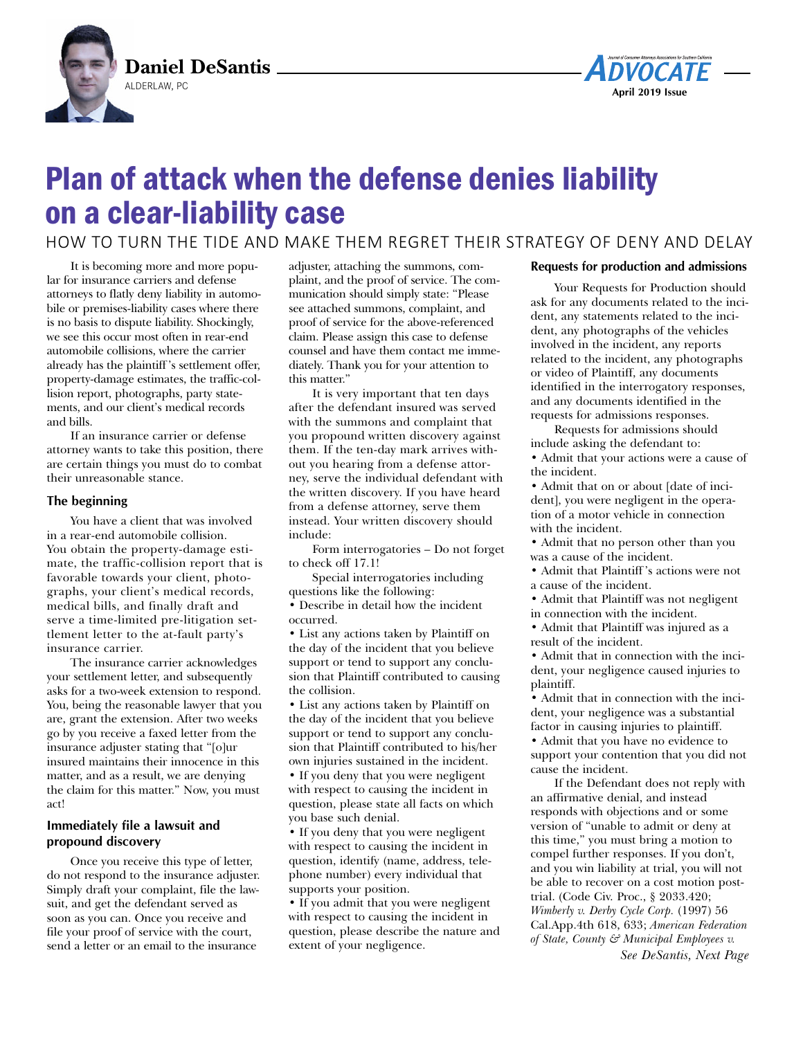



# Plan of attack when the defense denies liability on a clear-liability case

HOW TO TURN THE TIDE AND MAKE THEM REGRET THEIR STRATEGY OF DENY AND DELAY

It is becoming more and more popular for insurance carriers and defense attorneys to flatly deny liability in automobile or premises-liability cases where there is no basis to dispute liability. Shockingly, we see this occur most often in rear-end automobile collisions, where the carrier already has the plaintiff 's settlement offer, property-damage estimates, the traffic-collision report, photographs, party statements, and our client's medical records and bills.

If an insurance carrier or defense attorney wants to take this position, there are certain things you must do to combat their unreasonable stance.

## **The beginning**

You have a client that was involved in a rear-end automobile collision. You obtain the property-damage estimate, the traffic-collision report that is favorable towards your client, photographs, your client's medical records, medical bills, and finally draft and serve a time-limited pre-litigation settlement letter to the at-fault party's insurance carrier.

The insurance carrier acknowledges your settlement letter, and subsequently asks for a two-week extension to respond. You, being the reasonable lawyer that you are, grant the extension. After two weeks go by you receive a faxed letter from the insurance adjuster stating that "[o]ur insured maintains their innocence in this matter, and as a result, we are denying the claim for this matter." Now, you must act!

## **Immediately file a lawsuit and propound discovery**

Once you receive this type of letter, do not respond to the insurance adjuster. Simply draft your complaint, file the lawsuit, and get the defendant served as soon as you can. Once you receive and file your proof of service with the court, send a letter or an email to the insurance

adjuster, attaching the summons, complaint, and the proof of service. The communication should simply state: "Please see attached summons, complaint, and proof of service for the above-referenced claim. Please assign this case to defense counsel and have them contact me immediately. Thank you for your attention to this matter."

It is very important that ten days after the defendant insured was served with the summons and complaint that you propound written discovery against them. If the ten-day mark arrives without you hearing from a defense attorney, serve the individual defendant with the written discovery. If you have heard from a defense attorney, serve them instead. Your written discovery should include:

Form interrogatories – Do not forget to check off 17.1!

Special interrogatories including questions like the following: • Describe in detail how the incident occurred.

• List any actions taken by Plaintiff on the day of the incident that you believe support or tend to support any conclusion that Plaintiff contributed to causing the collision.

• List any actions taken by Plaintiff on the day of the incident that you believe support or tend to support any conclusion that Plaintiff contributed to his/her own injuries sustained in the incident.

• If you deny that you were negligent with respect to causing the incident in question, please state all facts on which you base such denial.

• If you deny that you were negligent with respect to causing the incident in question, identify (name, address, telephone number) every individual that supports your position.

• If you admit that you were negligent with respect to causing the incident in question, please describe the nature and extent of your negligence.

## **Requests for production and admissions**

Your Requests for Production should ask for any documents related to the incident, any statements related to the incident, any photographs of the vehicles involved in the incident, any reports related to the incident, any photographs or video of Plaintiff, any documents identified in the interrogatory responses, and any documents identified in the requests for admissions responses.

Requests for admissions should include asking the defendant to:

• Admit that your actions were a cause of the incident.

• Admit that on or about [date of incident], you were negligent in the operation of a motor vehicle in connection with the incident.

• Admit that no person other than you was a cause of the incident.

• Admit that Plaintiff 's actions were not a cause of the incident.

• Admit that Plaintiff was not negligent in connection with the incident.

• Admit that Plaintiff was injured as a

result of the incident.

• Admit that in connection with the incident, your negligence caused injuries to plaintiff.

• Admit that in connection with the incident, your negligence was a substantial factor in causing injuries to plaintiff.

• Admit that you have no evidence to support your contention that you did not cause the incident.

If the Defendant does not reply with an affirmative denial, and instead responds with objections and or some version of "unable to admit or deny at this time," you must bring a motion to compel further responses. If you don't, and you win liability at trial, you will not be able to recover on a cost motion posttrial. (Code Civ. Proc., § 2033.420; *Wimberly v. Derby Cycle Corp.* (1997) 56 Cal.App.4th 618, 633; *American Federation of State, County & Municipal Employees v. See DeSantis, Next Page*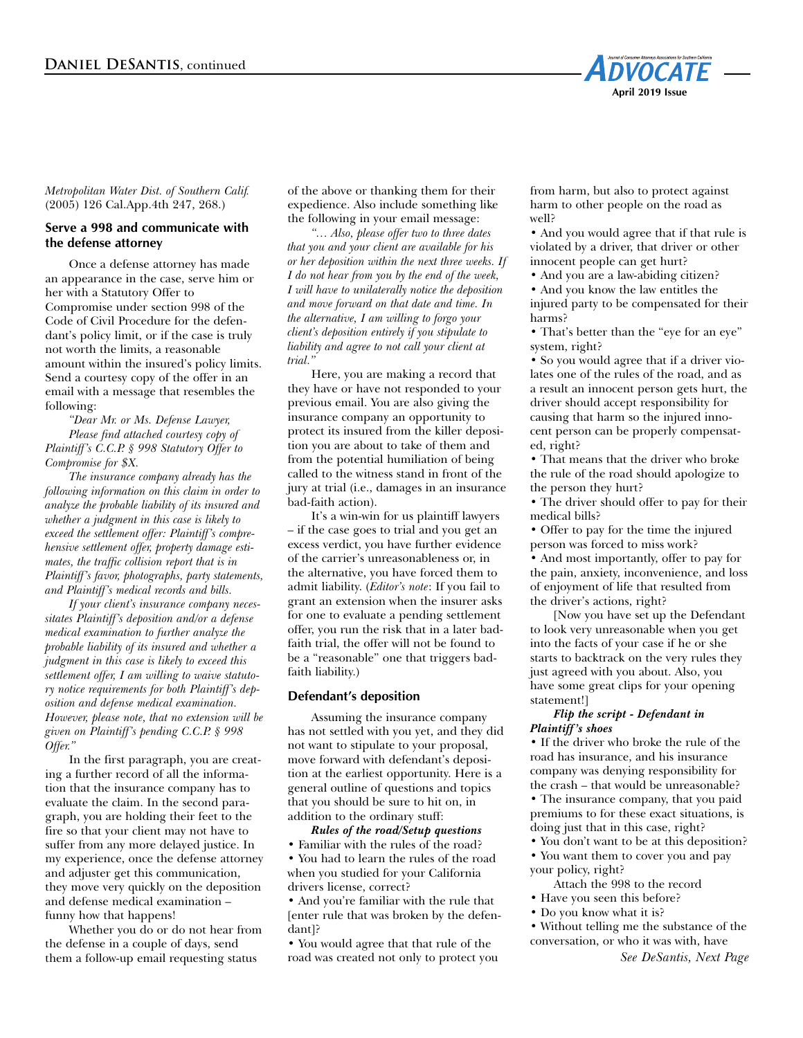

*Metropolitan Water Dist. of Southern Calif.* (2005) 126 Cal.App.4th 247, 268.)

## **Serve a 998 and communicate with the defense attorney**

Once a defense attorney has made an appearance in the case, serve him or her with a Statutory Offer to Compromise under section 998 of the Code of Civil Procedure for the defendant's policy limit, or if the case is truly not worth the limits, a reasonable amount within the insured's policy limits. Send a courtesy copy of the offer in an email with a message that resembles the following:

*"Dear Mr. or Ms. Defense Lawyer, Please find attached courtesy copy of Plaintiff's C.C.P. § 998 Statutory Offer to Compromise for \$X.* 

*The insurance company already has the following information on this claim in order to analyze the probable liability of its insured and whether a judgment in this case is likely to exceed the settlement offer: Plaintiff's comprehensive settlement offer, property damage estimates, the traffic collision report that is in Plaintiff's favor, photographs, party statements, and Plaintiff's medical records and bills.* 

*If your client's insurance company necessitates Plaintiff's deposition and/or a defense medical examination to further analyze the probable liability of its insured and whether a judgment in this case is likely to exceed this settlement offer, I am willing to waive statutory notice requirements for both Plaintiff's deposition and defense medical examination. However, please note, that no extension will be given on Plaintiff's pending C.C.P. § 998 Offer."* 

In the first paragraph, you are creating a further record of all the information that the insurance company has to evaluate the claim. In the second paragraph, you are holding their feet to the fire so that your client may not have to suffer from any more delayed justice. In my experience, once the defense attorney and adjuster get this communication, they move very quickly on the deposition and defense medical examination – funny how that happens!

Whether you do or do not hear from the defense in a couple of days, send them a follow-up email requesting status

of the above or thanking them for their expedience. Also include something like the following in your email message:

*"… Also, please offer two to three dates that you and your client are available for his or her deposition within the next three weeks. If I do not hear from you by the end of the week, I will have to unilaterally notice the deposition and move forward on that date and time. In the alternative, I am willing to forgo your client's deposition entirely if you stipulate to liability and agree to not call your client at trial."*

Here, you are making a record that they have or have not responded to your previous email. You are also giving the insurance company an opportunity to protect its insured from the killer deposition you are about to take of them and from the potential humiliation of being called to the witness stand in front of the jury at trial (i.e., damages in an insurance bad-faith action).

It's a win-win for us plaintiff lawyers – if the case goes to trial and you get an excess verdict, you have further evidence of the carrier's unreasonableness or, in the alternative, you have forced them to admit liability. (*Editor's note*: If you fail to grant an extension when the insurer asks for one to evaluate a pending settlement offer, you run the risk that in a later badfaith trial, the offer will not be found to be a "reasonable" one that triggers badfaith liability.)

#### **Defendant's deposition**

Assuming the insurance company has not settled with you yet, and they did not want to stipulate to your proposal, move forward with defendant's deposition at the earliest opportunity. Here is a general outline of questions and topics that you should be sure to hit on, in addition to the ordinary stuff:

*Rules of the road/Setup questions*

• Familiar with the rules of the road? • You had to learn the rules of the road when you studied for your California drivers license, correct?

• And you're familiar with the rule that [enter rule that was broken by the defendant]?

• You would agree that that rule of the road was created not only to protect you from harm, but also to protect against harm to other people on the road as well?

• And you would agree that if that rule is violated by a driver, that driver or other innocent people can get hurt?

• And you are a law-abiding citizen? • And you know the law entitles the injured party to be compensated for their

harms? • That's better than the "eye for an eye" system, right?

• So you would agree that if a driver violates one of the rules of the road, and as a result an innocent person gets hurt, the driver should accept responsibility for causing that harm so the injured innocent person can be properly compensated, right?

• That means that the driver who broke the rule of the road should apologize to the person they hurt?

• The driver should offer to pay for their medical bills?

• Offer to pay for the time the injured person was forced to miss work?

• And most importantly, offer to pay for the pain, anxiety, inconvenience, and loss of enjoyment of life that resulted from the driver's actions, right?

[Now you have set up the Defendant to look very unreasonable when you get into the facts of your case if he or she starts to backtrack on the very rules they just agreed with you about. Also, you have some great clips for your opening statement!]

#### *Flip the script - Defendant in Plaintiff's shoes*

• If the driver who broke the rule of the road has insurance, and his insurance company was denying responsibility for the crash – that would be unreasonable? • The insurance company, that you paid premiums to for these exact situations, is doing just that in this case, right?

• You don't want to be at this deposition? • You want them to cover you and pay

your policy, right? Attach the 998 to the record

• Have you seen this before?

• Do you know what it is?

• Without telling me the substance of the conversation, or who it was with, have

*See DeSantis, Next Page*